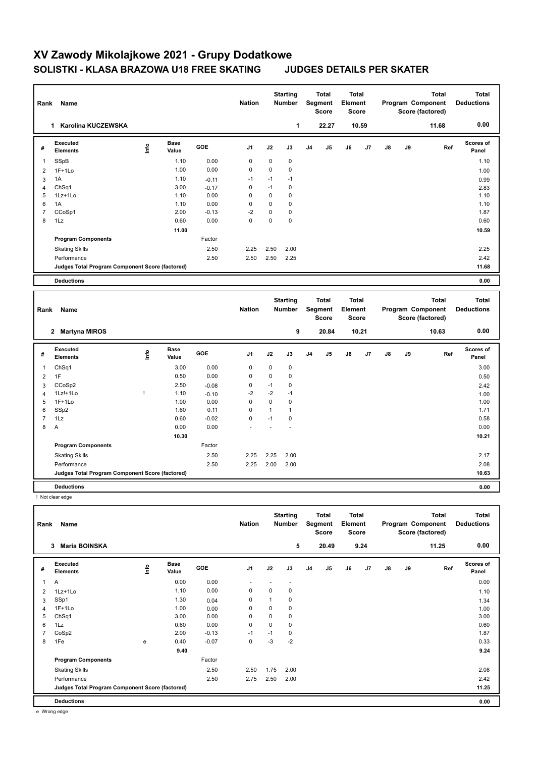| Rank                | Name                                            |      |                      |                 | <b>Nation</b>       |                  | <b>Starting</b><br><b>Number</b> |         | <b>Total</b><br>Segment<br><b>Score</b> | <b>Total</b><br>Element<br><b>Score</b> |       |    |    | <b>Total</b><br>Program Component<br>Score (factored) | Total<br><b>Deductions</b>        |
|---------------------|-------------------------------------------------|------|----------------------|-----------------|---------------------|------------------|----------------------------------|---------|-----------------------------------------|-----------------------------------------|-------|----|----|-------------------------------------------------------|-----------------------------------|
|                     | 1 Karolina KUCZEWSKA                            |      |                      |                 |                     |                  | 1                                |         | 22.27                                   |                                         | 10.59 |    |    | 11.68                                                 | 0.00                              |
| #                   | Executed<br><b>Elements</b>                     | lnfo | <b>Base</b><br>Value | GOE             | J1                  | J2               | J3                               | J4      | J5                                      | J6                                      | J7    | J8 | J9 | Ref                                                   | Scores of<br>Panel                |
| 1                   | SSpB                                            |      | 1.10                 | 0.00            | $\pmb{0}$           | $\mathbf 0$      | 0                                |         |                                         |                                         |       |    |    |                                                       | 1.10                              |
| 2                   | $1F+1Lo$                                        |      | 1.00                 | 0.00            | $\pmb{0}$           | $\mathbf 0$      | 0                                |         |                                         |                                         |       |    |    |                                                       | 1.00                              |
| 3                   | 1A                                              |      | 1.10                 | $-0.11$         | $-1$                | $-1$             | $-1$                             |         |                                         |                                         |       |    |    |                                                       | 0.99                              |
| 4                   | ChSq1                                           |      | 3.00                 | $-0.17$         | $\mathbf 0$         | $-1$             | 0                                |         |                                         |                                         |       |    |    |                                                       | 2.83                              |
| 5                   | 1Lz+1Lo                                         |      | 1.10                 | 0.00            | 0                   | $\mathbf 0$      | 0                                |         |                                         |                                         |       |    |    |                                                       | 1.10                              |
| 6                   | 1A                                              |      | 1.10                 | 0.00            | 0                   | $\mathbf 0$      | 0                                |         |                                         |                                         |       |    |    |                                                       | 1.10                              |
| $\overline{7}$<br>8 | CCoSp1<br>1Lz                                   |      | 2.00<br>0.60         | $-0.13$<br>0.00 | $-2$<br>$\mathbf 0$ | 0<br>$\mathbf 0$ | $\mathbf 0$<br>$\mathbf 0$       |         |                                         |                                         |       |    |    |                                                       | 1.87<br>0.60                      |
|                     |                                                 |      |                      |                 |                     |                  |                                  |         |                                         |                                         |       |    |    |                                                       | 10.59                             |
|                     | <b>Program Components</b>                       |      | 11.00                | Factor          |                     |                  |                                  |         |                                         |                                         |       |    |    |                                                       |                                   |
|                     |                                                 |      |                      |                 |                     |                  |                                  |         |                                         |                                         |       |    |    |                                                       |                                   |
|                     | <b>Skating Skills</b>                           |      |                      | 2.50            | 2.25                | 2.50             | 2.00                             |         |                                         |                                         |       |    |    |                                                       | 2.25                              |
|                     | Performance                                     |      |                      | 2.50            | 2.50                | 2.50             | 2.25                             |         |                                         |                                         |       |    |    |                                                       | 2.42<br>11.68                     |
|                     | Judges Total Program Component Score (factored) |      |                      |                 |                     |                  |                                  |         |                                         |                                         |       |    |    |                                                       |                                   |
|                     | <b>Deductions</b>                               |      |                      |                 |                     |                  |                                  |         |                                         |                                         |       |    |    |                                                       | 0.00                              |
|                     |                                                 |      |                      |                 |                     |                  |                                  |         |                                         |                                         |       |    |    |                                                       |                                   |
| Rank                | Name                                            |      |                      |                 | <b>Nation</b>       |                  | <b>Starting</b><br>Number        | Segment | Total<br><b>Score</b>                   | <b>Total</b><br>Element<br><b>Score</b> |       |    |    | <b>Total</b><br>Program Component<br>Score (factored) | <b>Total</b><br><b>Deductions</b> |
|                     | 2 Martyna MIROS                                 |      |                      |                 |                     |                  | 9                                |         | 20.84                                   |                                         | 10.21 |    |    | 10.63                                                 | 0.00                              |
| #                   | Executed<br><b>Elements</b>                     | ١nf٥ | <b>Base</b><br>Value | GOE             | J1                  | J2               | J3                               | J4      | J5                                      | J6                                      | J7    | J8 | J9 | Ref                                                   | Scores of<br>Panel                |
| 1                   | Ch <sub>Sq1</sub>                               |      | 3.00                 | 0.00            | $\pmb{0}$           | $\mathbf 0$      | 0                                |         |                                         |                                         |       |    |    |                                                       | 3.00                              |
| $\overline{2}$      | 1F                                              |      | 0.50                 | 0.00            | 0                   | $\mathbf 0$      | 0                                |         |                                         |                                         |       |    |    |                                                       | 0.50                              |
| 3                   | CCoSp2                                          |      | 2.50                 | $-0.08$         | 0                   | $-1$             | 0                                |         |                                         |                                         |       |    |    |                                                       | 2.42                              |
| 4                   | $1Lz! + 1Lo$                                    | Ţ    | 1.10                 | $-0.10$         | $-2$                | $-2$             | $-1$                             |         |                                         |                                         |       |    |    |                                                       | 1.00                              |
| 5                   | $1F+1Lo$                                        |      | 1.00                 | 0.00            | 0                   | $\mathbf 0$      | 0                                |         |                                         |                                         |       |    |    |                                                       | 1.00                              |
| 6                   | SSp2                                            |      | 1.60                 | 0.11            | $\pmb{0}$           | $\mathbf{1}$     | $\mathbf{1}$                     |         |                                         |                                         |       |    |    |                                                       | 1.71                              |
| $\overline{7}$      | 1Lz                                             |      | 0.60                 | $-0.02$         | $\pmb{0}$           | $-1$             | 0                                |         |                                         |                                         |       |    |    |                                                       | 0.58                              |
| 8                   | Α                                               |      | 0.00                 | 0.00            |                     |                  |                                  |         |                                         |                                         |       |    |    |                                                       | 0.00                              |
|                     |                                                 |      | 10.30                |                 |                     |                  |                                  |         |                                         |                                         |       |    |    |                                                       | 10.21                             |
|                     | <b>Program Components</b>                       |      |                      | Factor          |                     |                  |                                  |         |                                         |                                         |       |    |    |                                                       |                                   |
|                     | <b>Skating Skills</b>                           |      |                      | 2.50            | 2.25                | 2.25             | 2.00                             |         |                                         |                                         |       |    |    |                                                       | 2.17                              |
|                     | Performance                                     |      |                      | 2.50            | 2.25                | 2.00             | 2.00                             |         |                                         |                                         |       |    |    |                                                       | 2.08                              |
|                     | Judges Total Program Component Score (factored) |      |                      |                 |                     |                  |                                  |         |                                         |                                         |       |    |    |                                                       | 10.63                             |
|                     | Deductions                                      |      |                      |                 |                     |                  |                                  |         |                                         |                                         |       |    |    |                                                       | 0.00                              |
|                     | ! Not clear edge                                |      |                      |                 |                     |                  |                                  |         |                                         |                                         |       |    |    |                                                       |                                   |
|                     |                                                 |      |                      |                 |                     |                  |                                  |         |                                         |                                         |       |    |    |                                                       |                                   |
| Rank                | Name                                            |      |                      |                 | <b>Nation</b>       |                  | <b>Starting</b><br>Number        | Segment | <b>Total</b><br>Score                   | <b>Total</b><br>Element<br>Score        |       |    |    | <b>Total</b><br>Program Component<br>Score (factored) | <b>Total</b><br><b>Deductions</b> |
|                     | 3 Maria BOINSKA                                 |      |                      |                 |                     |                  | 5                                |         | 20.49                                   |                                         | 9.24  |    |    | 11.25                                                 | 0.00                              |

| # | <b>Executed</b><br><b>Elements</b>              | lnfo | Base<br>Value | GOE     | J <sub>1</sub> | J2             | J3   | J <sub>4</sub> | J <sub>5</sub> | J6 | J7 | J8 | J9 | Ref | Scores of<br>Panel |
|---|-------------------------------------------------|------|---------------|---------|----------------|----------------|------|----------------|----------------|----|----|----|----|-----|--------------------|
| 1 | Α                                               |      | 0.00          | 0.00    |                |                |      |                |                |    |    |    |    |     | 0.00               |
| 2 | 1Lz+1Lo                                         |      | 1.10          | 0.00    | 0              | 0              | 0    |                |                |    |    |    |    |     | 1.10               |
| 3 | SSp1                                            |      | 1.30          | 0.04    | 0              | $\overline{ }$ | 0    |                |                |    |    |    |    |     | 1.34               |
| 4 | $1F+1Lo$                                        |      | 1.00          | 0.00    | 0              | 0              | 0    |                |                |    |    |    |    |     | 1.00               |
| 5 | Ch <sub>Sq1</sub>                               |      | 3.00          | 0.00    | 0              | 0              | 0    |                |                |    |    |    |    |     | 3.00               |
| 6 | 1Lz                                             |      | 0.60          | 0.00    | 0              | 0              | 0    |                |                |    |    |    |    |     | 0.60               |
| 7 | CoSp2                                           |      | 2.00          | $-0.13$ | $-1$           | $-1$           | 0    |                |                |    |    |    |    |     | 1.87               |
| 8 | 1Fe                                             | е    | 0.40          | $-0.07$ | 0              | $-3$           | $-2$ |                |                |    |    |    |    |     | 0.33               |
|   |                                                 |      | 9.40          |         |                |                |      |                |                |    |    |    |    |     | 9.24               |
|   | <b>Program Components</b>                       |      |               | Factor  |                |                |      |                |                |    |    |    |    |     |                    |
|   | <b>Skating Skills</b>                           |      |               | 2.50    | 2.50           | 1.75           | 2.00 |                |                |    |    |    |    |     | 2.08               |
|   | Performance                                     |      |               | 2.50    | 2.75           | 2.50           | 2.00 |                |                |    |    |    |    |     | 2.42               |
|   | Judges Total Program Component Score (factored) |      |               |         |                |                |      |                |                |    |    |    |    |     | 11.25              |
|   | <b>Deductions</b>                               |      |               |         |                |                |      |                |                |    |    |    |    |     | 0.00               |

e Wrong edge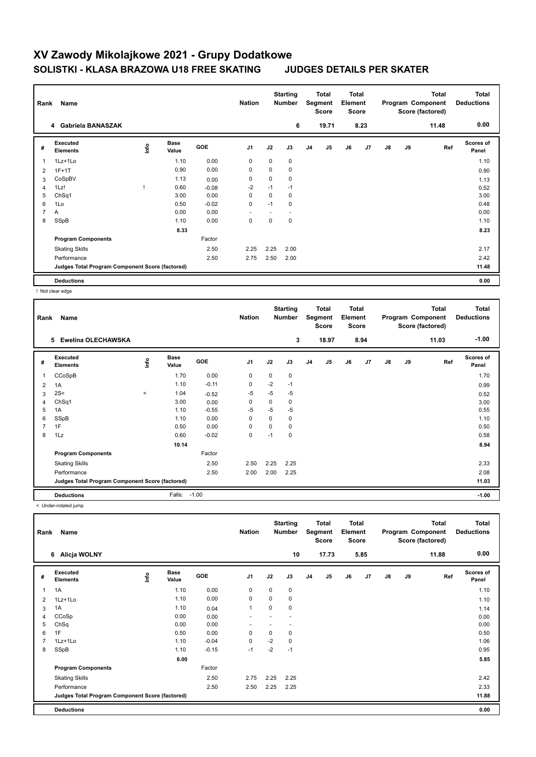| Rank | Name                                            |      |                      |         | <b>Nation</b>  |      | <b>Starting</b><br><b>Number</b> |                | <b>Total</b><br>Segment<br><b>Score</b> | <b>Total</b><br>Element<br><b>Score</b> |      |    |    | <b>Total</b><br>Program Component<br>Score (factored) | <b>Total</b><br><b>Deductions</b> |
|------|-------------------------------------------------|------|----------------------|---------|----------------|------|----------------------------------|----------------|-----------------------------------------|-----------------------------------------|------|----|----|-------------------------------------------------------|-----------------------------------|
|      | 4 Gabriela BANASZAK                             |      |                      |         |                |      | 6                                |                | 19.71                                   |                                         | 8.23 |    |    | 11.48                                                 | 0.00                              |
| #    | <b>Executed</b><br><b>Elements</b>              | lnfo | <b>Base</b><br>Value | GOE     | J <sub>1</sub> | J2   | J3                               | J <sub>4</sub> | J5                                      | J6                                      | J7   | J8 | J9 | Ref                                                   | <b>Scores of</b><br>Panel         |
| 1    | 1Lz+1Lo                                         |      | 1.10                 | 0.00    | 0              | 0    | 0                                |                |                                         |                                         |      |    |    |                                                       | 1.10                              |
| 2    | $1F+1T$                                         |      | 0.90                 | 0.00    | 0              | 0    | 0                                |                |                                         |                                         |      |    |    |                                                       | 0.90                              |
| 3    | CoSpBV                                          |      | 1.13                 | 0.00    | 0              | 0    | 0                                |                |                                         |                                         |      |    |    |                                                       | 1.13                              |
| 4    | 1Lz!                                            |      | 0.60                 | $-0.08$ | $-2$           | $-1$ | $-1$                             |                |                                         |                                         |      |    |    |                                                       | 0.52                              |
| 5    | ChSq1                                           |      | 3.00                 | 0.00    | 0              | 0    | 0                                |                |                                         |                                         |      |    |    |                                                       | 3.00                              |
| 6    | 1Lo                                             |      | 0.50                 | $-0.02$ | 0              | $-1$ | 0                                |                |                                         |                                         |      |    |    |                                                       | 0.48                              |
|      | A                                               |      | 0.00                 | 0.00    |                |      |                                  |                |                                         |                                         |      |    |    |                                                       | 0.00                              |
| 8    | SSpB                                            |      | 1.10                 | 0.00    | 0              | 0    | 0                                |                |                                         |                                         |      |    |    |                                                       | 1.10                              |
|      |                                                 |      | 8.33                 |         |                |      |                                  |                |                                         |                                         |      |    |    |                                                       | 8.23                              |
|      | <b>Program Components</b>                       |      |                      | Factor  |                |      |                                  |                |                                         |                                         |      |    |    |                                                       |                                   |
|      | <b>Skating Skills</b>                           |      |                      | 2.50    | 2.25           | 2.25 | 2.00                             |                |                                         |                                         |      |    |    |                                                       | 2.17                              |
|      | Performance                                     |      |                      | 2.50    | 2.75           | 2.50 | 2.00                             |                |                                         |                                         |      |    |    |                                                       | 2.42                              |
|      | Judges Total Program Component Score (factored) |      |                      |         |                |      |                                  |                |                                         |                                         |      |    |    |                                                       | 11.48                             |
|      | <b>Deductions</b>                               |      |                      |         |                |      |                                  |                |                                         |                                         |      |    |    |                                                       | 0.00                              |

! Not clear edge

| Rank           | Name                                            |       |                      |            | <b>Nation</b>  |          | <b>Starting</b><br><b>Number</b> |                | Total<br>Segment<br><b>Score</b> | <b>Total</b><br>Element<br><b>Score</b> |                |    |    | Total<br>Program Component<br>Score (factored) | <b>Total</b><br><b>Deductions</b> |
|----------------|-------------------------------------------------|-------|----------------------|------------|----------------|----------|----------------------------------|----------------|----------------------------------|-----------------------------------------|----------------|----|----|------------------------------------------------|-----------------------------------|
|                | <b>Ewelina OLECHAWSKA</b><br>5                  |       |                      |            |                |          | 3                                |                | 18.97                            |                                         | 8.94           |    |    | 11.03                                          | $-1.00$                           |
| #              | Executed<br><b>Elements</b>                     | ۴٥    | <b>Base</b><br>Value | <b>GOE</b> | J <sub>1</sub> | J2       | J3                               | J <sub>4</sub> | J5                               | J6                                      | J <sub>7</sub> | J8 | J9 | Ref                                            | <b>Scores of</b><br>Panel         |
| 1              | CCoSpB                                          |       | 1.70                 | 0.00       | 0              | 0        | 0                                |                |                                  |                                         |                |    |    |                                                | 1.70                              |
| 2              | 1A                                              |       | 1.10                 | $-0.11$    | 0              | $-2$     | $-1$                             |                |                                  |                                         |                |    |    |                                                | 0.99                              |
| 3              | 2S<                                             | $\,<$ | 1.04                 | $-0.52$    | $-5$           | $-5$     | $-5$                             |                |                                  |                                         |                |    |    |                                                | 0.52                              |
| 4              | ChSq1                                           |       | 3.00                 | 0.00       | 0              | 0        | 0                                |                |                                  |                                         |                |    |    |                                                | 3.00                              |
| 5              | 1A                                              |       | 1.10                 | $-0.55$    | $-5$           | $-5$     | $-5$                             |                |                                  |                                         |                |    |    |                                                | 0.55                              |
| 6              | SSpB                                            |       | 1.10                 | 0.00       | $\Omega$       | $\Omega$ | 0                                |                |                                  |                                         |                |    |    |                                                | 1.10                              |
| $\overline{7}$ | 1F                                              |       | 0.50                 | 0.00       | $\Omega$       | $\Omega$ | 0                                |                |                                  |                                         |                |    |    |                                                | 0.50                              |
| 8              | 1Lz                                             |       | 0.60                 | $-0.02$    | $\mathbf 0$    | $-1$     | 0                                |                |                                  |                                         |                |    |    |                                                | 0.58                              |
|                |                                                 |       | 10.14                |            |                |          |                                  |                |                                  |                                         |                |    |    |                                                | 8.94                              |
|                | <b>Program Components</b>                       |       |                      | Factor     |                |          |                                  |                |                                  |                                         |                |    |    |                                                |                                   |
|                | <b>Skating Skills</b>                           |       |                      | 2.50       | 2.50           | 2.25     | 2.25                             |                |                                  |                                         |                |    |    |                                                | 2.33                              |
|                | Performance                                     |       |                      | 2.50       | 2.00           | 2.00     | 2.25                             |                |                                  |                                         |                |    |    |                                                | 2.08                              |
|                | Judges Total Program Component Score (factored) |       |                      |            |                |          |                                  |                |                                  |                                         |                |    |    |                                                | 11.03                             |
|                | <b>Deductions</b>                               |       | Falls:               | $-1.00$    |                |          |                                  |                |                                  |                                         |                |    |    |                                                | $-1.00$                           |

< Under-rotated jump

| Rank | Name                                            |      |                      |         | <b>Nation</b>  |      | <b>Starting</b><br><b>Number</b> | Total<br>Segment<br><b>Score</b> |       | <b>Total</b><br>Element<br><b>Score</b> |      | Program Component |    | <b>Total</b><br>Score (factored) | <b>Total</b><br><b>Deductions</b> |
|------|-------------------------------------------------|------|----------------------|---------|----------------|------|----------------------------------|----------------------------------|-------|-----------------------------------------|------|-------------------|----|----------------------------------|-----------------------------------|
|      | 6 Alicja WOLNY                                  |      |                      |         |                |      | 10                               |                                  | 17.73 |                                         | 5.85 |                   |    | 11.88                            | 0.00                              |
| #    | Executed<br><b>Elements</b>                     | ١nf٥ | <b>Base</b><br>Value | GOE     | J <sub>1</sub> | J2   | J3                               | J <sub>4</sub>                   | J5    | J6                                      | J7   | $\mathsf{J}8$     | J9 | Ref                              | <b>Scores of</b><br>Panel         |
| 1    | 1A                                              |      | 1.10                 | 0.00    | 0              | 0    | 0                                |                                  |       |                                         |      |                   |    |                                  | 1.10                              |
| 2    | 1Lz+1Lo                                         |      | 1.10                 | 0.00    | 0              | 0    | 0                                |                                  |       |                                         |      |                   |    |                                  | 1.10                              |
| 3    | 1A                                              |      | 1.10                 | 0.04    | $\mathbf{1}$   | 0    | 0                                |                                  |       |                                         |      |                   |    |                                  | 1.14                              |
| 4    | CCoSp                                           |      | 0.00                 | 0.00    |                |      |                                  |                                  |       |                                         |      |                   |    |                                  | 0.00                              |
| 5    | ChSq                                            |      | 0.00                 | 0.00    |                |      |                                  |                                  |       |                                         |      |                   |    |                                  | 0.00                              |
| 6    | 1F                                              |      | 0.50                 | 0.00    | 0              | 0    | 0                                |                                  |       |                                         |      |                   |    |                                  | 0.50                              |
| 7    | 1Lz+1Lo                                         |      | 1.10                 | $-0.04$ | $\mathbf 0$    | $-2$ | 0                                |                                  |       |                                         |      |                   |    |                                  | 1.06                              |
| 8    | SSpB                                            |      | 1.10                 | $-0.15$ | $-1$           | $-2$ | $-1$                             |                                  |       |                                         |      |                   |    |                                  | 0.95                              |
|      |                                                 |      | 6.00                 |         |                |      |                                  |                                  |       |                                         |      |                   |    |                                  | 5.85                              |
|      | <b>Program Components</b>                       |      |                      | Factor  |                |      |                                  |                                  |       |                                         |      |                   |    |                                  |                                   |
|      | <b>Skating Skills</b>                           |      |                      | 2.50    | 2.75           | 2.25 | 2.25                             |                                  |       |                                         |      |                   |    |                                  | 2.42                              |
|      | Performance                                     |      |                      | 2.50    | 2.50           | 2.25 | 2.25                             |                                  |       |                                         |      |                   |    |                                  | 2.33                              |
|      | Judges Total Program Component Score (factored) |      |                      |         |                |      |                                  |                                  |       |                                         |      |                   |    |                                  | 11.88                             |
|      | <b>Deductions</b>                               |      |                      |         |                |      |                                  |                                  |       |                                         |      |                   |    |                                  | 0.00                              |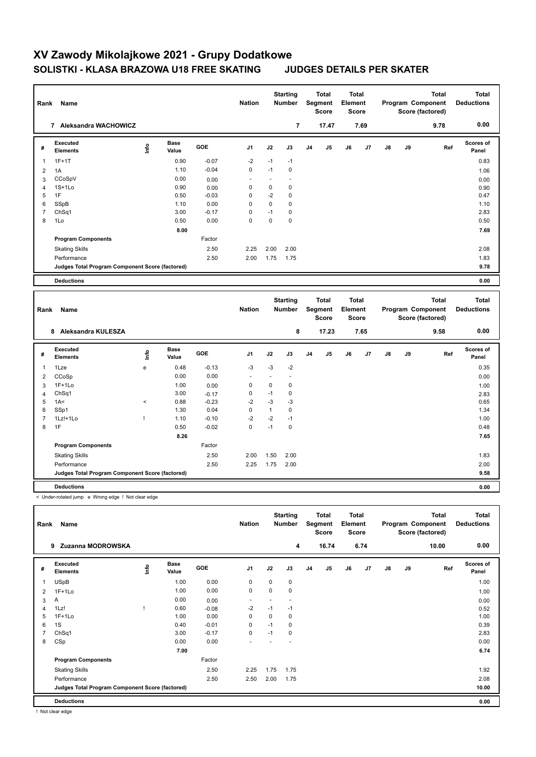| Rank           | Name                                               |                                            |                      |         | <b>Nation</b>  |                          | <b>Starting</b><br><b>Number</b> |    | <b>Total</b><br>Segment<br><b>Score</b> | <b>Total</b><br>Element<br><b>Score</b>        |      |               |    | <b>Total</b><br>Program Component<br>Score (factored) | <b>Total</b><br><b>Deductions</b> |
|----------------|----------------------------------------------------|--------------------------------------------|----------------------|---------|----------------|--------------------------|----------------------------------|----|-----------------------------------------|------------------------------------------------|------|---------------|----|-------------------------------------------------------|-----------------------------------|
|                | 7 Aleksandra WACHOWICZ                             |                                            |                      |         |                |                          | $\overline{7}$                   |    | 17.47                                   |                                                | 7.69 |               |    | 9.78                                                  | 0.00                              |
| #              | <b>Executed</b><br><b>Elements</b>                 | ١nfo                                       | <b>Base</b><br>Value | GOE     | J <sub>1</sub> | J2                       | J3                               | J4 | J5                                      | J6                                             | J7   | $\mathsf{J}8$ | J9 | Ref                                                   | <b>Scores of</b><br>Panel         |
| 1              | $1F+1T$                                            |                                            | 0.90                 | $-0.07$ | $-2$           | $-1$                     | $-1$                             |    |                                         |                                                |      |               |    |                                                       | 0.83                              |
| $\overline{2}$ | 1A                                                 |                                            | 1.10                 | $-0.04$ | 0              | $-1$                     | $\mathbf 0$                      |    |                                         |                                                |      |               |    |                                                       | 1.06                              |
| 3              | CCoSpV                                             |                                            | 0.00                 | 0.00    | ÷.             | $\overline{\phantom{a}}$ | ÷.                               |    |                                         |                                                |      |               |    |                                                       | 0.00                              |
| $\overline{4}$ | $1S+1Lo$                                           |                                            | 0.90                 | 0.00    | $\mathbf 0$    | 0                        | $\mathbf 0$                      |    |                                         |                                                |      |               |    |                                                       | 0.90                              |
| 5              | 1F                                                 |                                            | 0.50                 | $-0.03$ | 0              | $-2$                     | $\mathbf 0$                      |    |                                         |                                                |      |               |    |                                                       | 0.47                              |
| 6              | SSpB                                               |                                            | 1.10                 | 0.00    | 0              | $\mathbf 0$              | $\mathbf 0$                      |    |                                         |                                                |      |               |    |                                                       | 1.10                              |
| $\overline{7}$ | ChSq1                                              |                                            | 3.00                 | $-0.17$ | 0              | $-1$                     | $\mathbf 0$                      |    |                                         |                                                |      |               |    |                                                       | 2.83                              |
| 8              | 1Lo                                                |                                            | 0.50                 | 0.00    | $\Omega$       | 0                        | $\mathbf 0$                      |    |                                         |                                                |      |               |    |                                                       | 0.50                              |
|                |                                                    |                                            | 8.00                 |         |                |                          |                                  |    |                                         |                                                |      |               |    |                                                       | 7.69                              |
|                | <b>Program Components</b>                          |                                            |                      | Factor  |                |                          |                                  |    |                                         |                                                |      |               |    |                                                       |                                   |
|                | <b>Skating Skills</b>                              |                                            |                      | 2.50    | 2.25           | 2.00                     | 2.00                             |    |                                         |                                                |      |               |    |                                                       | 2.08                              |
|                | Performance                                        |                                            |                      | 2.50    | 2.00           | 1.75                     | 1.75                             |    |                                         |                                                |      |               |    |                                                       | 1.83                              |
|                | Judges Total Program Component Score (factored)    |                                            |                      |         |                |                          |                                  |    |                                         |                                                |      |               |    |                                                       | 9.78                              |
|                | <b>Deductions</b>                                  |                                            |                      |         |                |                          |                                  |    |                                         |                                                |      |               |    |                                                       | 0.00                              |
|                |                                                    |                                            |                      |         |                |                          |                                  |    |                                         |                                                |      |               |    |                                                       |                                   |
| Rank           | Name                                               |                                            |                      |         | <b>Nation</b>  |                          | <b>Starting</b><br>Number        |    | <b>Total</b><br>Segment<br><b>Score</b> | <b>Total</b><br><b>Element</b><br><b>Score</b> |      |               |    | Total<br>Program Component<br>Score (factored)        | <b>Total</b><br><b>Deductions</b> |
|                | 8 Aleksandra KULESZA                               |                                            |                      |         |                |                          | 8                                |    | 17.23                                   |                                                | 7.65 |               |    | 9.58                                                  | 0.00                              |
| #              | <b>Executed</b><br><b>Elements</b>                 | lnfo                                       | <b>Base</b><br>Value | GOE     | J <sub>1</sub> | J2                       | J3                               | J4 | J5                                      | J6                                             | J7   | $\mathsf{J}8$ | J9 | Ref                                                   | Scores of<br>Panel                |
| $\mathbf{1}$   | 1Lze                                               | $\mathsf{e}% _{0}\left( \mathsf{e}\right)$ | 0.48                 | $-0.13$ | $-3$           | $-3$                     | $-2$                             |    |                                         |                                                |      |               |    |                                                       | 0.35                              |
| $\overline{2}$ | CCoSp                                              |                                            | 0.00                 | 0.00    | ÷,             | ä,                       | ä,                               |    |                                         |                                                |      |               |    |                                                       | 0.00                              |
| 3              | $1F+1Lo$                                           |                                            | 1.00                 | 0.00    | 0              | 0                        | $\mathbf 0$                      |    |                                         |                                                |      |               |    |                                                       | 1.00                              |
| 4              | ChSq1                                              |                                            | 3.00                 | $-0.17$ | 0              | $-1$                     | $\mathbf 0$                      |    |                                         |                                                |      |               |    |                                                       | 2.83                              |
| 5              | 1A<                                                | $\prec$                                    | 0.88                 | $-0.23$ | $-2$           | $-3$                     | $-3$                             |    |                                         |                                                |      |               |    |                                                       | 0.65                              |
| 6              | SSp1                                               |                                            | 1.30                 | 0.04    | $\mathbf 0$    | $\mathbf{1}$             | $\mathbf 0$                      |    |                                         |                                                |      |               |    |                                                       | 1.34                              |
| $\overline{7}$ | 1Lz!+1Lo                                           | Ţ                                          | 1.10                 | $-0.10$ | $-2$           | $-2$                     | $-1$                             |    |                                         |                                                |      |               |    |                                                       | 1.00                              |
| 8              | 1F                                                 |                                            | 0.50                 | $-0.02$ | $\Omega$       | $-1$                     | $\Omega$                         |    |                                         |                                                |      |               |    |                                                       | 0.48                              |
|                |                                                    |                                            | 8.26                 |         |                |                          |                                  |    |                                         |                                                |      |               |    |                                                       | 7.65                              |
|                | <b>Program Components</b>                          |                                            |                      | Factor  |                |                          |                                  |    |                                         |                                                |      |               |    |                                                       |                                   |
|                | <b>Skating Skills</b>                              |                                            |                      | 2.50    | 2.00           | 1.50                     | 2.00                             |    |                                         |                                                |      |               |    |                                                       | 1.83                              |
|                | Performance                                        |                                            |                      | 2.50    | 2.25           | 1.75                     | 2.00                             |    |                                         |                                                |      |               |    |                                                       | 2.00                              |
|                |                                                    |                                            |                      |         |                |                          |                                  |    |                                         |                                                |      |               |    |                                                       |                                   |
|                | Judges Total Program Component Score (factored)    |                                            |                      |         |                |                          |                                  |    |                                         |                                                |      |               |    |                                                       | 9.58                              |
|                | <b>Deductions</b>                                  |                                            |                      |         |                |                          |                                  |    |                                         |                                                |      |               |    |                                                       | 0.00                              |
|                |                                                    |                                            |                      |         |                |                          |                                  |    |                                         |                                                |      |               |    |                                                       |                                   |
|                | < Under-rotated jump e Wrong edge ! Not clear edge |                                            |                      |         |                |                          |                                  |    |                                         |                                                |      |               |    |                                                       |                                   |

|   | Rank<br>Name                                    |      |                      |         | <b>Nation</b>  |      | <b>Number</b> |                | Segment<br><b>Score</b> | Element<br><b>Score</b> |      |    |    | Program Component<br>Score (factored) | <b>Deductions</b>  |
|---|-------------------------------------------------|------|----------------------|---------|----------------|------|---------------|----------------|-------------------------|-------------------------|------|----|----|---------------------------------------|--------------------|
|   | Zuzanna MODROWSKA<br>9                          |      |                      |         |                |      | 4             |                | 16.74                   |                         | 6.74 |    |    | 10.00                                 | 0.00               |
| # | <b>Executed</b><br><b>Elements</b>              | ١nfo | <b>Base</b><br>Value | GOE     | J <sub>1</sub> | J2   | J3            | J <sub>4</sub> | J5                      | J6                      | J7   | J8 | J9 | Ref                                   | Scores of<br>Panel |
|   | <b>USpB</b>                                     |      | 1.00                 | 0.00    | 0              | 0    | 0             |                |                         |                         |      |    |    |                                       | 1.00               |
| 2 | $1F+1Lo$                                        |      | 1.00                 | 0.00    | 0              | 0    | 0             |                |                         |                         |      |    |    |                                       | 1.00               |
| 3 | Α                                               |      | 0.00                 | 0.00    | ٠              |      |               |                |                         |                         |      |    |    |                                       | 0.00               |
| 4 | 1Lz!                                            |      | 0.60                 | $-0.08$ | $-2$           | $-1$ | $-1$          |                |                         |                         |      |    |    |                                       | 0.52               |
| 5 | $1F+1Lo$                                        |      | 1.00                 | 0.00    | 0              | 0    | 0             |                |                         |                         |      |    |    |                                       | 1.00               |
| 6 | 1S                                              |      | 0.40                 | $-0.01$ | 0              | $-1$ | 0             |                |                         |                         |      |    |    |                                       | 0.39               |
|   | Ch <sub>Sq1</sub>                               |      | 3.00                 | $-0.17$ | 0              | $-1$ | 0             |                |                         |                         |      |    |    |                                       | 2.83               |
| 8 | CSp                                             |      | 0.00                 | 0.00    |                |      |               |                |                         |                         |      |    |    |                                       | 0.00               |
|   |                                                 |      | 7.00                 |         |                |      |               |                |                         |                         |      |    |    |                                       | 6.74               |
|   | <b>Program Components</b>                       |      |                      | Factor  |                |      |               |                |                         |                         |      |    |    |                                       |                    |
|   | <b>Skating Skills</b>                           |      |                      | 2.50    | 2.25           | 1.75 | 1.75          |                |                         |                         |      |    |    |                                       | 1.92               |
|   | Performance                                     |      |                      | 2.50    | 2.50           | 2.00 | 1.75          |                |                         |                         |      |    |    |                                       | 2.08               |
|   | Judges Total Program Component Score (factored) |      |                      |         |                |      |               |                |                         |                         |      |    |    |                                       | 10.00              |
|   | <b>Deductions</b>                               |      |                      |         |                |      |               |                |                         |                         |      |    |    |                                       | 0.00               |

! Not clear edge